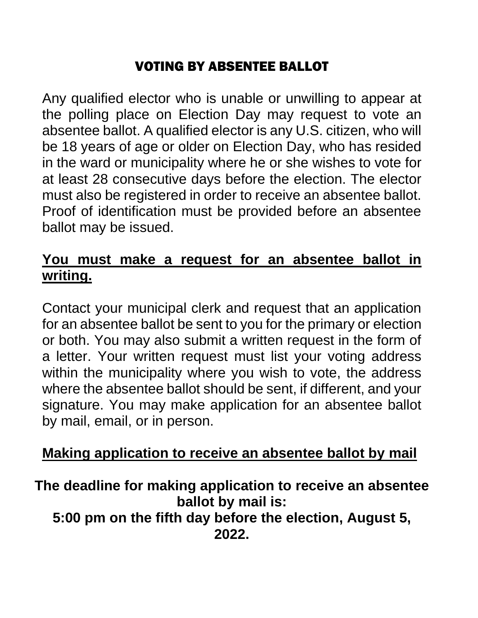# VOTING BY ABSENTEE BALLOT

Any qualified elector who is unable or unwilling to appear at the polling place on Election Day may request to vote an absentee ballot. A qualified elector is any U.S. citizen, who will be 18 years of age or older on Election Day, who has resided in the ward or municipality where he or she wishes to vote for at least 28 consecutive days before the election. The elector must also be registered in order to receive an absentee ballot. Proof of identification must be provided before an absentee ballot may be issued.

### **You must make a request for an absentee ballot in writing.**

Contact your municipal clerk and request that an application for an absentee ballot be sent to you for the primary or election or both. You may also submit a written request in the form of a letter. Your written request must list your voting address within the municipality where you wish to vote, the address where the absentee ballot should be sent, if different, and your signature. You may make application for an absentee ballot by mail, email, or in person.

### **Making application to receive an absentee ballot by mail**

### **The deadline for making application to receive an absentee ballot by mail is: 5:00 pm on the fifth day before the election, August 5, 2022.**